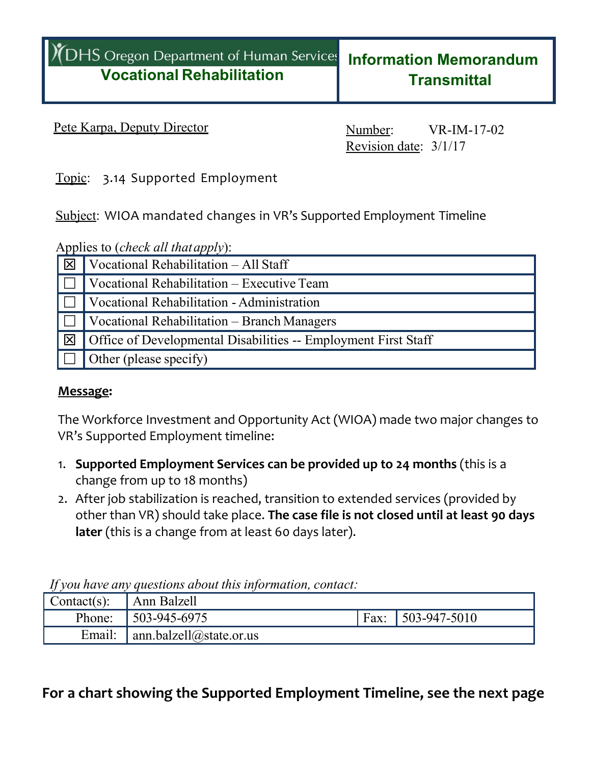### Pete Karpa, Deputy Director Number: VR-IM-17-02

Revision date: 3/1/17

Topic: 3.14 Supported Employment

Subject: WIOA mandated changes in VR's Supported Employment Timeline

|  |  | Applies to ( <i>check all that apply</i> ): |  |  |
|--|--|---------------------------------------------|--|--|
|  |  |                                             |  |  |

| ⊠              | Vocational Rehabilitation - All Staff                          |
|----------------|----------------------------------------------------------------|
|                | Vocational Rehabilitation - Executive Team                     |
|                | Vocational Rehabilitation - Administration                     |
|                | <b>Vocational Rehabilitation – Branch Managers</b>             |
| $\overline{X}$ | Office of Developmental Disabilities -- Employment First Staff |
|                | Other (please specify)                                         |

#### **Message:**

The Workforce Investment and Opportunity Act (WIOA) made two major changes to VR's Supported Employment timeline:

- 1. **Supported Employment Services can be provided up to 24 months** (this is a change from up to 18 months)
- 2. After job stabilization is reached, transition to extended services (provided by other than VR) should take place. **The case file is not closed until at least 90 days later** (this is a change from at least 60 days later).

*If you have any questions about this information, contact:*

| ' Contact(s): | Ann Balzell                    |      |                     |
|---------------|--------------------------------|------|---------------------|
| Phone:        | $\mid$ 503-945-6975            | Fax: | $\mid$ 503-947-5010 |
| Email:        | $\int$ ann.balzell@state.or.us |      |                     |

## **For a chart showing the Supported Employment Timeline, see the next page**